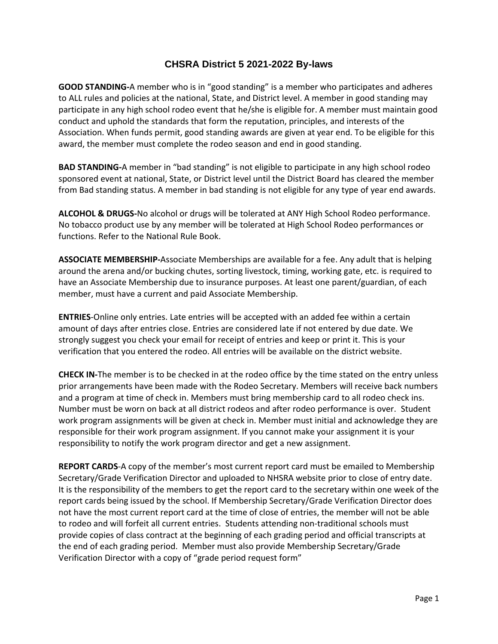## **CHSRA District 5 2021-2022 By-laws**

**GOOD STANDING-**A member who is in "good standing" is a member who participates and adheres to ALL rules and policies at the national, State, and District level. A member in good standing may participate in any high school rodeo event that he/she is eligible for. A member must maintain good conduct and uphold the standards that form the reputation, principles, and interests of the Association. When funds permit, good standing awards are given at year end. To be eligible for this award, the member must complete the rodeo season and end in good standing.

**BAD STANDING-**A member in "bad standing" is not eligible to participate in any high school rodeo sponsored event at national, State, or District level until the District Board has cleared the member from Bad standing status. A member in bad standing is not eligible for any type of year end awards.

**ALCOHOL & DRUGS-**No alcohol or drugs will be tolerated at ANY High School Rodeo performance. No tobacco product use by any member will be tolerated at High School Rodeo performances or functions. Refer to the National Rule Book.

**ASSOCIATE MEMBERSHIP-**Associate Memberships are available for a fee. Any adult that is helping around the arena and/or bucking chutes, sorting livestock, timing, working gate, etc. is required to have an Associate Membership due to insurance purposes. At least one parent/guardian, of each member, must have a current and paid Associate Membership.

**ENTRIES**-Online only entries. Late entries will be accepted with an added fee within a certain amount of days after entries close. Entries are considered late if not entered by due date. We strongly suggest you check your email for receipt of entries and keep or print it. This is your verification that you entered the rodeo. All entries will be available on the district website.

**CHECK IN-**The member is to be checked in at the rodeo office by the time stated on the entry unless prior arrangements have been made with the Rodeo Secretary. Members will receive back numbers and a program at time of check in. Members must bring membership card to all rodeo check ins. Number must be worn on back at all district rodeos and after rodeo performance is over. Student work program assignments will be given at check in. Member must initial and acknowledge they are responsible for their work program assignment. If you cannot make your assignment it is your responsibility to notify the work program director and get a new assignment.

**REPORT CARDS**-A copy of the member's most current report card must be emailed to Membership Secretary/Grade Verification Director and uploaded to NHSRA website prior to close of entry date. It is the responsibility of the members to get the report card to the secretary within one week of the report cards being issued by the school. If Membership Secretary/Grade Verification Director does not have the most current report card at the time of close of entries, the member will not be able to rodeo and will forfeit all current entries. Students attending non-traditional schools must provide copies of class contract at the beginning of each grading period and official transcripts at the end of each grading period. Member must also provide Membership Secretary/Grade Verification Director with a copy of "grade period request form"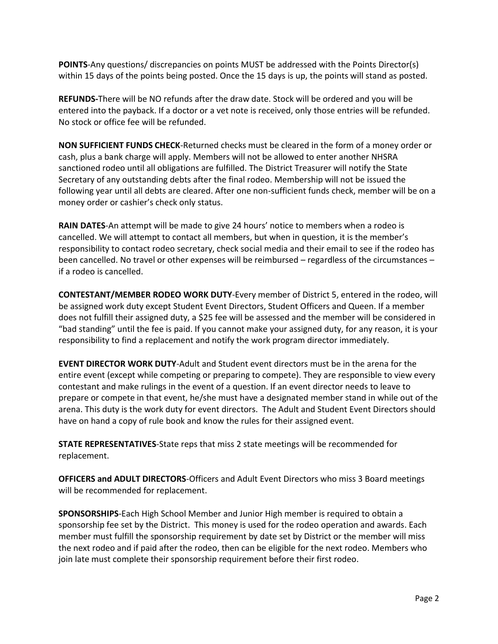**POINTS**-Any questions/ discrepancies on points MUST be addressed with the Points Director(s) within 15 days of the points being posted. Once the 15 days is up, the points will stand as posted.

**REFUNDS-**There will be NO refunds after the draw date. Stock will be ordered and you will be entered into the payback. If a doctor or a vet note is received, only those entries will be refunded. No stock or office fee will be refunded.

**NON SUFFICIENT FUNDS CHECK**-Returned checks must be cleared in the form of a money order or cash, plus a bank charge will apply. Members will not be allowed to enter another NHSRA sanctioned rodeo until all obligations are fulfilled. The District Treasurer will notify the State Secretary of any outstanding debts after the final rodeo. Membership will not be issued the following year until all debts are cleared. After one non-sufficient funds check, member will be on a money order or cashier's check only status.

**RAIN DATES**-An attempt will be made to give 24 hours' notice to members when a rodeo is cancelled. We will attempt to contact all members, but when in question, it is the member's responsibility to contact rodeo secretary, check social media and their email to see if the rodeo has been cancelled. No travel or other expenses will be reimbursed – regardless of the circumstances – if a rodeo is cancelled.

**CONTESTANT/MEMBER RODEO WORK DUTY**-Every member of District 5, entered in the rodeo, will be assigned work duty except Student Event Directors, Student Officers and Queen. If a member does not fulfill their assigned duty, a \$25 fee will be assessed and the member will be considered in "bad standing" until the fee is paid. If you cannot make your assigned duty, for any reason, it is your responsibility to find a replacement and notify the work program director immediately.

**EVENT DIRECTOR WORK DUTY**-Adult and Student event directors must be in the arena for the entire event (except while competing or preparing to compete). They are responsible to view every contestant and make rulings in the event of a question. If an event director needs to leave to prepare or compete in that event, he/she must have a designated member stand in while out of the arena. This duty is the work duty for event directors. The Adult and Student Event Directors should have on hand a copy of rule book and know the rules for their assigned event.

**STATE REPRESENTATIVES**-State reps that miss 2 state meetings will be recommended for replacement.

**OFFICERS and ADULT DIRECTORS**-Officers and Adult Event Directors who miss 3 Board meetings will be recommended for replacement.

**SPONSORSHIPS**-Each High School Member and Junior High member is required to obtain a sponsorship fee set by the District. This money is used for the rodeo operation and awards. Each member must fulfill the sponsorship requirement by date set by District or the member will miss the next rodeo and if paid after the rodeo, then can be eligible for the next rodeo. Members who join late must complete their sponsorship requirement before their first rodeo.